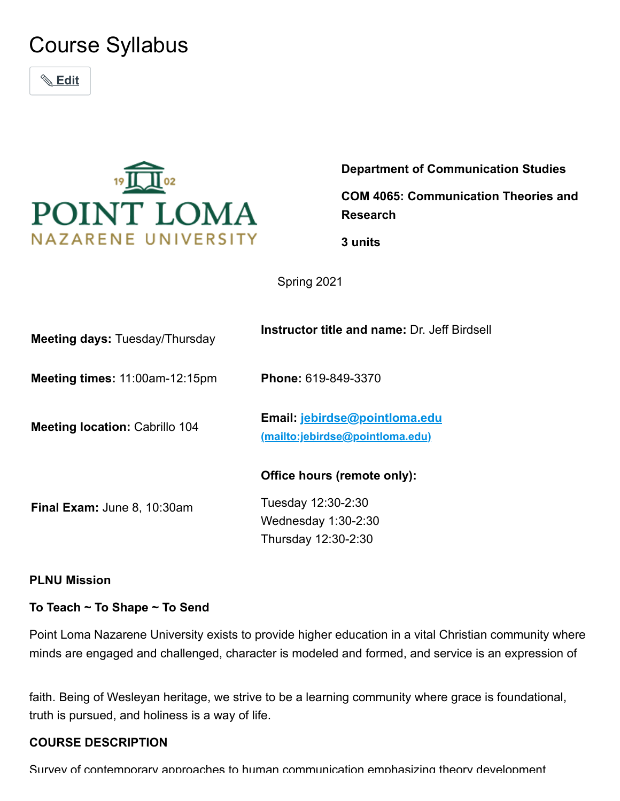# Course Syllabus

 **Edit**



**Department of Communication Studies COM 4065: Communication Theories and Research**

**3 units**

Spring 2021

| Meeting days: Tuesday/Thursday        | <b>Instructor title and name: Dr. Jeff Birdsell</b>                                               |
|---------------------------------------|---------------------------------------------------------------------------------------------------|
| Meeting times: 11:00am-12:15pm        | Phone: 619-849-3370                                                                               |
| <b>Meeting location: Cabrillo 104</b> | Email: jebirdse@pointloma.edu<br>(mailto:jebirdse@pointloma.edu)                                  |
| Final Exam: June 8, 10:30am           | Office hours (remote only):<br>Tuesday 12:30-2:30<br>Wednesday $1:30-2:30$<br>Thursday 12:30-2:30 |
|                                       |                                                                                                   |

#### **PLNU Mission**

**To Teach ~ To Shape ~ To Send**

Point Loma Nazarene University exists to provide higher education in a vital Christian community where minds are engaged and challenged, character is modeled and formed, and service is an expression of

faith. Being of Wesleyan heritage, we strive to be a learning community where grace is foundational, truth is pursued, and holiness is a way of life.

#### **COURSE DESCRIPTION**

Survey of contemporary approaches to human communication emphasizing theory development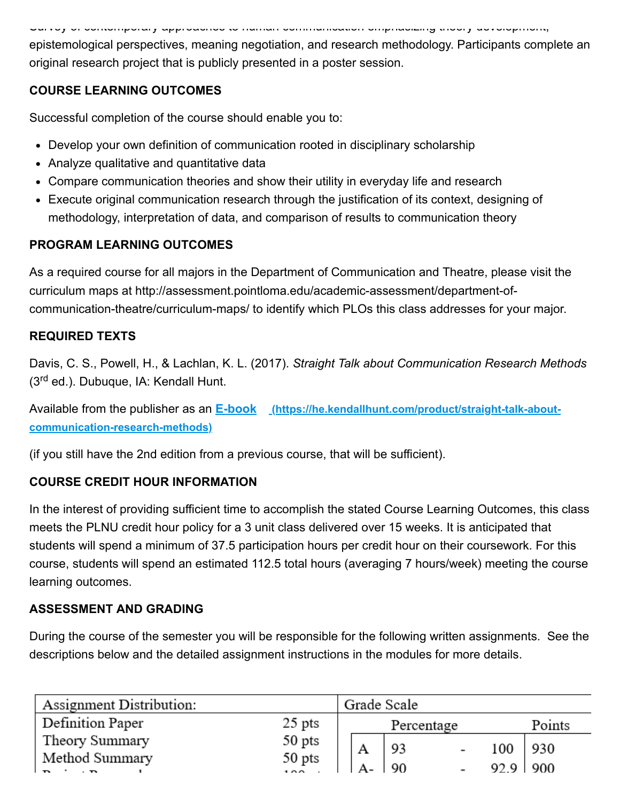Survey of contemporary approaches to human communication emphasizing theory development,

epistemological perspectives, meaning negotiation, and research methodology. Participants complete an original research project that is publicly presented in a poster session.

# **COURSE LEARNING OUTCOMES**

Successful completion of the course should enable you to:

- Develop your own definition of communication rooted in disciplinary scholarship
- Analyze qualitative and quantitative data
- Compare communication theories and show their utility in everyday life and research
- Execute original communication research through the justification of its context, designing of methodology, interpretation of data, and comparison of results to communication theory

# **PROGRAM LEARNING OUTCOMES**

As a required course for all majors in the Department of Communication and Theatre, please visit the curriculum maps at http://assessment.pointloma.edu/academic-assessment/department-ofcommunication-theatre/curriculum-maps/ to identify which PLOs this class addresses for your major.

# **REQUIRED TEXTS**

Davis, C. S., Powell, H., & Lachlan, K. L. (2017). *Straight Talk about Communication Research Methods* (3<sup>rd</sup> ed.). Dubuque, IA: Kendall Hunt.

Available from the publisher as an **E-book [\(https://he.kendallhunt.com/product/straight-talk-about](https://he.kendallhunt.com/product/straight-talk-about-communication-research-methods)communication-research-methods)**

(if you still have the 2nd edition from a previous course, that will be sufficient).

# **COURSE CREDIT HOUR INFORMATION**

In the interest of providing sufficient time to accomplish the stated Course Learning Outcomes, this class meets the PLNU credit hour policy for a 3 unit class delivered over 15 weeks. It is anticipated that students will spend a minimum of 37.5 participation hours per credit hour on their coursework. For this course, students will spend an estimated 112.5 total hours (averaging 7 hours/week) meeting the course learning outcomes.

# **ASSESSMENT AND GRADING**

During the course of the semester you will be responsible for the following written assignments. See the descriptions below and the detailed assignment instructions in the modules for more details.

| Assignment Distribution:        |                      | Grade Scale |     |                          |      |        |
|---------------------------------|----------------------|-------------|-----|--------------------------|------|--------|
| Definition Paper                | $25$ pts             | Percentage  |     |                          |      | Points |
| Theory Summary                  |                      | Α           | 93  | $\overline{\phantom{a}}$ | 100  | 930    |
| Method Summary<br>$\sim$ $\sim$ | $50$ pts<br>$50$ pts |             | -90 |                          | 92.9 | 900    |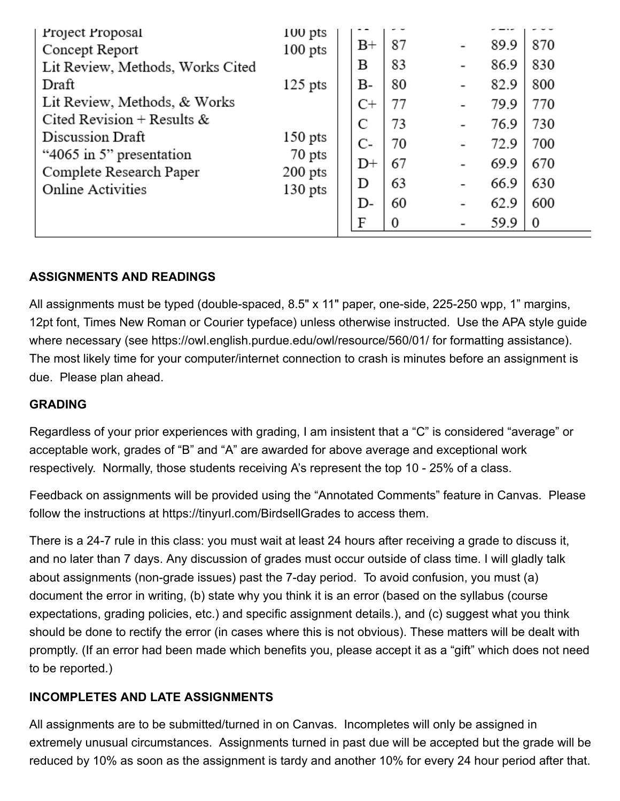| Project Proposal<br>Concept Report<br>Lit Review, Methods, Works Cited<br>Draft<br>Lit Review, Methods, & Works<br>Cited Revision + Results &<br>Discussion Draft<br>"4065 in 5" presentation<br>Complete Research Paper<br><b>Online Activities</b> | 100 pts<br>$100$ pts<br>$125$ pts<br>$150$ pts<br>70 pts<br>$200$ pts<br>$130$ pts | $_{\rm B+}$<br>в<br>В-<br>$C+$<br>C<br>C-<br>$_{\rm D+}$<br>D<br>D-<br>F | 87<br>83<br>80<br>77<br>73<br>70<br>67<br>63<br>60<br>0 | 89.9<br>86.9<br>82.9<br>79.9<br>76.9<br>72.9<br>69.9<br>66.9<br>62.9<br>59.9 | 870<br>830<br>800<br>770<br>730<br>700<br>670<br>630<br>600<br>0 |
|------------------------------------------------------------------------------------------------------------------------------------------------------------------------------------------------------------------------------------------------------|------------------------------------------------------------------------------------|--------------------------------------------------------------------------|---------------------------------------------------------|------------------------------------------------------------------------------|------------------------------------------------------------------|
|                                                                                                                                                                                                                                                      |                                                                                    |                                                                          |                                                         |                                                                              |                                                                  |

# **ASSIGNMENTS AND READINGS**

All assignments must be typed (double-spaced, 8.5" x 11" paper, one-side, 225-250 wpp, 1" margins, 12pt font, Times New Roman or Courier typeface) unless otherwise instructed. Use the APA style guide where necessary (see https://owl.english.purdue.edu/owl/resource/560/01/ for formatting assistance). The most likely time for your computer/internet connection to crash is minutes before an assignment is due. Please plan ahead.

#### **GRADING**

Regardless of your prior experiences with grading, I am insistent that a "C" is considered "average" or acceptable work, grades of "B" and "A" are awarded for above average and exceptional work respectively. Normally, those students receiving A's represent the top 10 - 25% of a class.

Feedback on assignments will be provided using the "Annotated Comments" feature in Canvas. Please follow the instructions at https://tinyurl.com/BirdsellGrades to access them.

There is a 24-7 rule in this class: you must wait at least 24 hours after receiving a grade to discuss it, and no later than 7 days. Any discussion of grades must occur outside of class time. I will gladly talk about assignments (non-grade issues) past the 7-day period. To avoid confusion, you must (a) document the error in writing, (b) state why you think it is an error (based on the syllabus (course expectations, grading policies, etc.) and specific assignment details.), and (c) suggest what you think should be done to rectify the error (in cases where this is not obvious). These matters will be dealt with promptly. (If an error had been made which benefits you, please accept it as a "gift" which does not need to be reported.)

# **INCOMPLETES AND LATE ASSIGNMENTS**

All assignments are to be submitted/turned in on Canvas. Incompletes will only be assigned in extremely unusual circumstances. Assignments turned in past due will be accepted but the grade will be reduced by 10% as soon as the assignment is tardy and another 10% for every 24 hour period after that.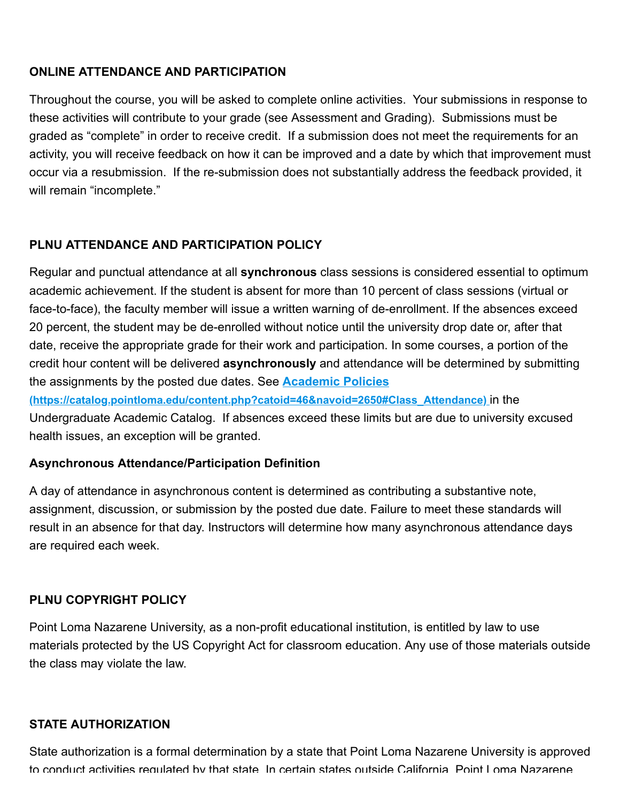#### **ONLINE ATTENDANCE AND PARTICIPATION**

Throughout the course, you will be asked to complete online activities. Your submissions in response to these activities will contribute to your grade (see Assessment and Grading). Submissions must be graded as "complete" in order to receive credit. If a submission does not meet the requirements for an activity, you will receive feedback on how it can be improved and a date by which that improvement must occur via a resubmission. If the re-submission does not substantially address the feedback provided, it will remain "incomplete."

#### **PLNU ATTENDANCE AND PARTICIPATION POLICY**

Regular and punctual attendance at all **synchronous** class sessions is considered essential to optimum academic achievement. If the student is absent for more than 10 percent of class sessions (virtual or face-to-face), the faculty member will issue a written warning of de-enrollment. If the absences exceed 20 percent, the student may be de-enrolled without notice until the university drop date or, after that date, receive the appropriate grade for their work and participation. In some courses, a portion of the credit hour content will be delivered **asynchronously** and attendance will be determined by submitting the assignments by the posted due dates. See **Academic Policies [\(https://catalog.pointloma.edu/content.php?catoid=46&navoid=2650#Class\\_Attendance\)](https://catalog.pointloma.edu/content.php?catoid=46&navoid=2650#Class_Attendance)** in the

Undergraduate Academic Catalog. If absences exceed these limits but are due to university excused health issues, an exception will be granted.

#### **Asynchronous Attendance/Participation Definition**

A day of attendance in asynchronous content is determined as contributing a substantive note, assignment, discussion, or submission by the posted due date. Failure to meet these standards will result in an absence for that day. Instructors will determine how many asynchronous attendance days are required each week.

#### **PLNU COPYRIGHT POLICY**

Point Loma Nazarene University, as a non-profit educational institution, is entitled by law to use materials protected by the US Copyright Act for classroom education. Any use of those materials outside the class may violate the law.

#### **STATE AUTHORIZATION**

State authorization is a formal determination by a state that Point Loma Nazarene University is approved to conduct activities regulated by that state In certain states outside California Point Loma Nazarene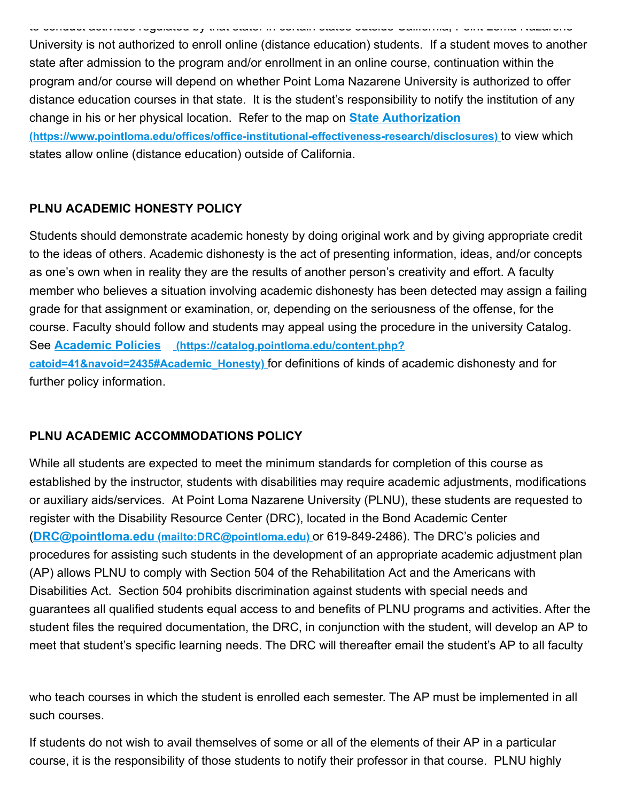to conduct activities regulated by that state. In certain states outside California, Point Loma Nazarene University is not authorized to enroll online (distance education) students. If a student moves to another state after admission to the program and/or enrollment in an online course, continuation within the program and/or course will depend on whether Point Loma Nazarene University is authorized to offer distance education courses in that state. It is the student's responsibility to notify the institution of any change in his or her physical location. Refer to the map on **State Authorization [\(https://www.pointloma.edu/offices/office-institutional-effectiveness-research/disclosures\)](https://www.pointloma.edu/offices/office-institutional-effectiveness-research/disclosures)** to view which states allow online (distance education) outside of California.

# **PLNU ACADEMIC HONESTY POLICY**

Students should demonstrate academic honesty by doing original work and by giving appropriate credit to the ideas of others. Academic dishonesty is the act of presenting information, ideas, and/or concepts as one's own when in reality they are the results of another person's creativity and effort. A faculty member who believes a situation involving academic dishonesty has been detected may assign a failing grade for that assignment or examination, or, depending on the seriousness of the offense, for the course. Faculty should follow and students may appeal using the procedure in the university Catalog. See **Academic Policies (https://catalog.pointloma.edu/content.php? [catoid=41&navoid=2435#Academic\\_Honesty\)](https://catalog.pointloma.edu/content.php?catoid=41&navoid=2435#Academic_Honesty)** for definitions of kinds of academic dishonesty and for further policy information.

# **PLNU ACADEMIC ACCOMMODATIONS POLICY**

While all students are expected to meet the minimum standards for completion of this course as established by the instructor, students with disabilities may require academic adjustments, modifications or auxiliary aids/services. At Point Loma Nazarene University (PLNU), these students are requested to register with the Disability Resource Center (DRC), located in the Bond Academic Center (**DRC@pointloma.edu [\(mailto:DRC@pointloma.edu\)](mailto:DRC@pointloma.edu)** or 619-849-2486). The DRC's policies and procedures for assisting such students in the development of an appropriate academic adjustment plan (AP) allows PLNU to comply with Section 504 of the Rehabilitation Act and the Americans with Disabilities Act. Section 504 prohibits discrimination against students with special needs and guarantees all qualified students equal access to and benefits of PLNU programs and activities. After the student files the required documentation, the DRC, in conjunction with the student, will develop an AP to meet that student's specific learning needs. The DRC will thereafter email the student's AP to all faculty

who teach courses in which the student is enrolled each semester. The AP must be implemented in all such courses.

If students do not wish to avail themselves of some or all of the elements of their AP in a particular course, it is the responsibility of those students to notify their professor in that course. PLNU highly